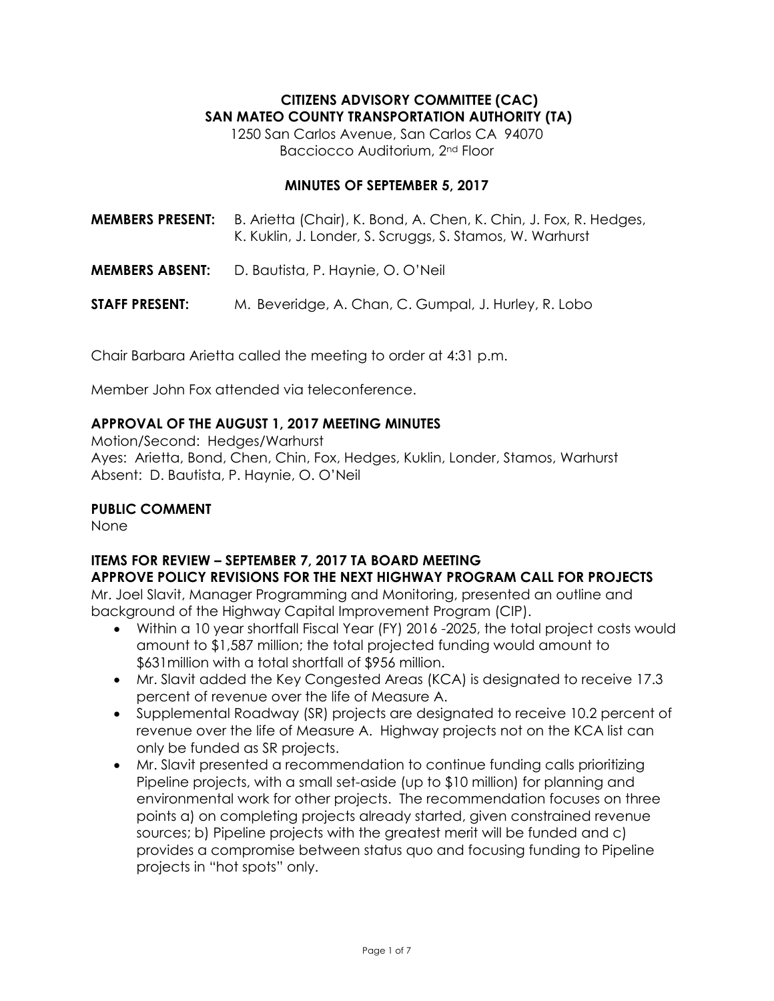# **CITIZENS ADVISORY COMMITTEE (CAC) SAN MATEO COUNTY TRANSPORTATION AUTHORITY (TA)**

1250 San Carlos Avenue, San Carlos CA 94070 Bacciocco Auditorium, 2nd Floor

#### **MINUTES OF SEPTEMBER 5, 2017**

| <b>MEMBERS PRESENT:</b> | B. Arietta (Chair), K. Bond, A. Chen, K. Chin, J. Fox, R. Hedges,<br>K. Kuklin, J. Londer, S. Scruggs, S. Stamos, W. Warhurst |
|-------------------------|-------------------------------------------------------------------------------------------------------------------------------|
| <b>MEMBERS ABSENT:</b>  | D. Bautista, P. Haynie, O. O'Neil                                                                                             |
| <b>STAFF PRESENT:</b>   | M. Beveridge, A. Chan, C. Gumpal, J. Hurley, R. Lobo                                                                          |

Chair Barbara Arietta called the meeting to order at 4:31 p.m.

Member John Fox attended via teleconference.

## **APPROVAL OF THE AUGUST 1, 2017 MEETING MINUTES**

Motion/Second: Hedges/Warhurst Ayes: Arietta, Bond, Chen, Chin, Fox, Hedges, Kuklin, Londer, Stamos, Warhurst Absent: D. Bautista, P. Haynie, O. O'Neil

## **PUBLIC COMMENT**

None

#### **ITEMS FOR REVIEW – SEPTEMBER 7, 2017 TA BOARD MEETING APPROVE POLICY REVISIONS FOR THE NEXT HIGHWAY PROGRAM CALL FOR PROJECTS**

Mr. Joel Slavit, Manager Programming and Monitoring, presented an outline and background of the Highway Capital Improvement Program (CIP).

- Within a 10 year shortfall Fiscal Year (FY) 2016 -2025, the total project costs would amount to \$1,587 million; the total projected funding would amount to \$631million with a total shortfall of \$956 million.
- Mr. Slavit added the Key Congested Areas (KCA) is designated to receive 17.3 percent of revenue over the life of Measure A.
- Supplemental Roadway (SR) projects are designated to receive 10.2 percent of revenue over the life of Measure A. Highway projects not on the KCA list can only be funded as SR projects.
- Mr. Slavit presented a recommendation to continue funding calls prioritizing Pipeline projects, with a small set-aside (up to \$10 million) for planning and environmental work for other projects. The recommendation focuses on three points a) on completing projects already started, given constrained revenue sources; b) Pipeline projects with the greatest merit will be funded and c) provides a compromise between status quo and focusing funding to Pipeline projects in "hot spots" only.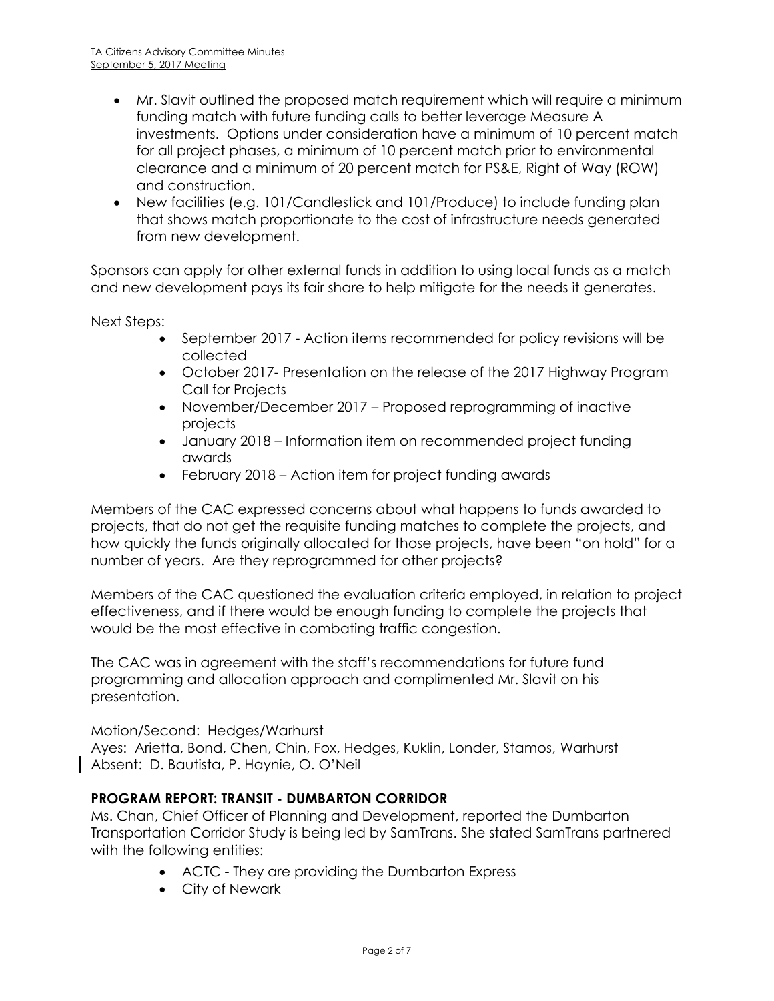- Mr. Slavit outlined the proposed match requirement which will require a minimum funding match with future funding calls to better leverage Measure A investments. Options under consideration have a minimum of 10 percent match for all project phases, a minimum of 10 percent match prior to environmental clearance and a minimum of 20 percent match for PS&E, Right of Way (ROW) and construction.
- New facilities (e.g. 101/Candlestick and 101/Produce) to include funding plan that shows match proportionate to the cost of infrastructure needs generated from new development.

Sponsors can apply for other external funds in addition to using local funds as a match and new development pays its fair share to help mitigate for the needs it generates.

Next Steps:

- September 2017 Action items recommended for policy revisions will be collected
- October 2017- Presentation on the release of the 2017 Highway Program Call for Projects
- November/December 2017 Proposed reprogramming of inactive projects
- January 2018 Information item on recommended project funding awards
- February 2018 Action item for project funding awards

Members of the CAC expressed concerns about what happens to funds awarded to projects, that do not get the requisite funding matches to complete the projects, and how quickly the funds originally allocated for those projects, have been "on hold" for a number of years. Are they reprogrammed for other projects?

Members of the CAC questioned the evaluation criteria employed, in relation to project effectiveness, and if there would be enough funding to complete the projects that would be the most effective in combating traffic congestion.

The CAC was in agreement with the staff's recommendations for future fund programming and allocation approach and complimented Mr. Slavit on his presentation.

## Motion/Second: Hedges/Warhurst

Ayes: Arietta, Bond, Chen, Chin, Fox, Hedges, Kuklin, Londer, Stamos, Warhurst Absent: D. Bautista, P. Haynie, O. O'Neil

## **PROGRAM REPORT: TRANSIT - DUMBARTON CORRIDOR**

Ms. Chan, Chief Officer of Planning and Development, reported the Dumbarton Transportation Corridor Study is being led by SamTrans. She stated SamTrans partnered with the following entities:

- ACTC They are providing the Dumbarton Express
- City of Newark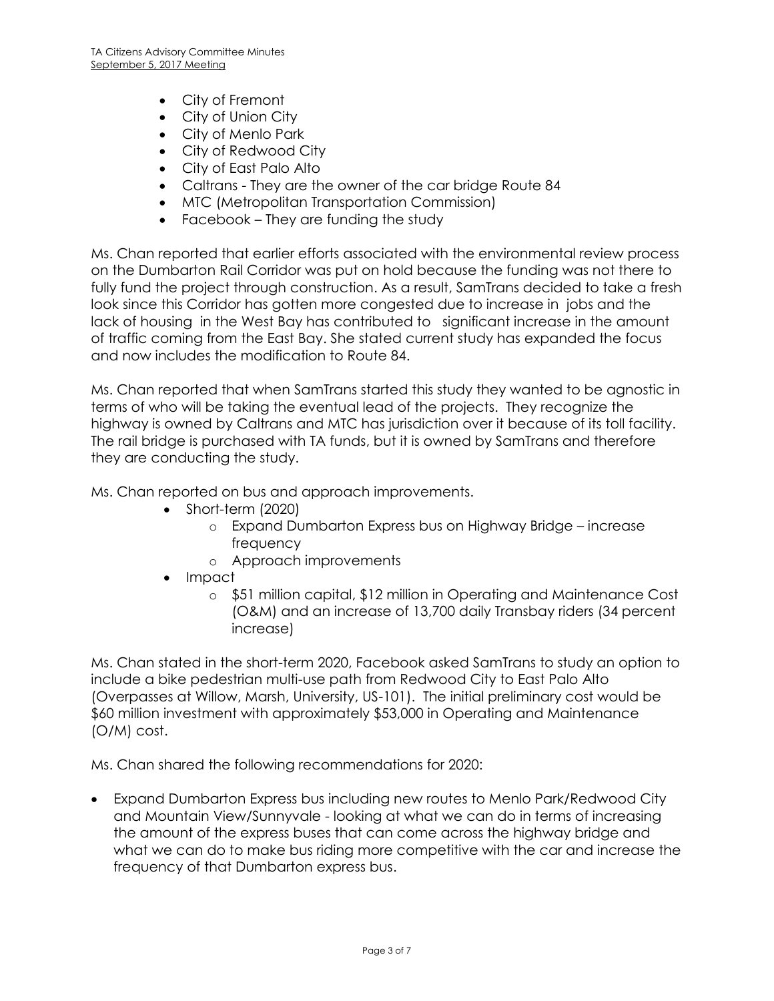- City of Fremont
- City of Union City
- City of Menlo Park
- City of Redwood City
- City of East Palo Alto
- Caltrans They are the owner of the car bridge Route 84
- MTC (Metropolitan Transportation Commission)
- Facebook They are funding the study

Ms. Chan reported that earlier efforts associated with the environmental review process on the Dumbarton Rail Corridor was put on hold because the funding was not there to fully fund the project through construction. As a result, SamTrans decided to take a fresh look since this Corridor has gotten more congested due to increase in jobs and the lack of housing in the West Bay has contributed to significant increase in the amount of traffic coming from the East Bay. She stated current study has expanded the focus and now includes the modification to Route 84.

Ms. Chan reported that when SamTrans started this study they wanted to be agnostic in terms of who will be taking the eventual lead of the projects. They recognize the highway is owned by Caltrans and MTC has jurisdiction over it because of its toll facility. The rail bridge is purchased with TA funds, but it is owned by SamTrans and therefore they are conducting the study.

Ms. Chan reported on bus and approach improvements.

- Short-term (2020)
	- o Expand Dumbarton Express bus on Highway Bridge increase frequency
	- o Approach improvements
- Impact
	- o \$51 million capital, \$12 million in Operating and Maintenance Cost (O&M) and an increase of 13,700 daily Transbay riders (34 percent increase)

Ms. Chan stated in the short-term 2020, Facebook asked SamTrans to study an option to include a bike pedestrian multi-use path from Redwood City to East Palo Alto (Overpasses at Willow, Marsh, University, US-101). The initial preliminary cost would be \$60 million investment with approximately \$53,000 in Operating and Maintenance (O/M) cost.

Ms. Chan shared the following recommendations for 2020:

 Expand Dumbarton Express bus including new routes to Menlo Park/Redwood City and Mountain View/Sunnyvale - looking at what we can do in terms of increasing the amount of the express buses that can come across the highway bridge and what we can do to make bus riding more competitive with the car and increase the frequency of that Dumbarton express bus.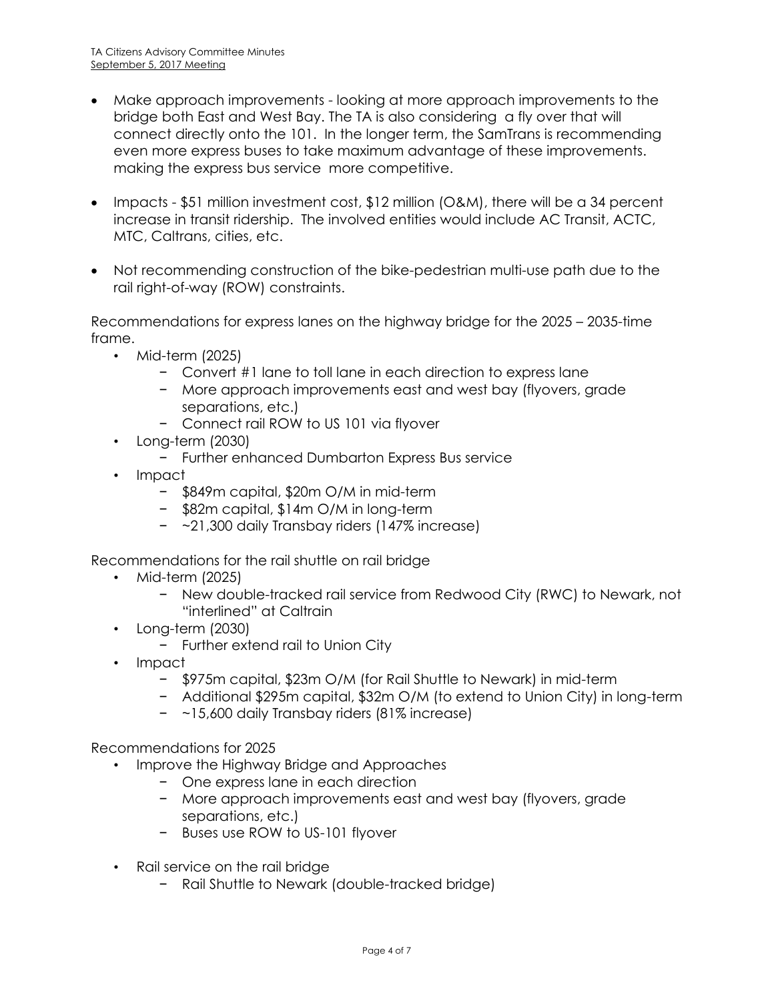- Make approach improvements looking at more approach improvements to the bridge both East and West Bay. The TA is also considering a fly over that will connect directly onto the 101. In the longer term, the SamTrans is recommending even more express buses to take maximum advantage of these improvements. making the express bus service more competitive.
- Impacts \$51 million investment cost,  $$12$  million (O&M), there will be a 34 percent increase in transit ridership. The involved entities would include AC Transit, ACTC, MTC, Caltrans, cities, etc.
- Not recommending construction of the bike-pedestrian multi-use path due to the rail right-of-way (ROW) constraints.

Recommendations for express lanes on the highway bridge for the 2025 – 2035-time frame.

- Mid-term (2025)
	- − Convert #1 lane to toll lane in each direction to express lane
	- − More approach improvements east and west bay (flyovers, grade separations, etc.)
	- − Connect rail ROW to US 101 via flyover
- Long-term (2030)
	- − Further enhanced Dumbarton Express Bus service
- Impact
	- − \$849m capital, \$20m O/M in mid-term
	- − \$82m capital, \$14m O/M in long-term
	- − ~21,300 daily Transbay riders (147% increase)

Recommendations for the rail shuttle on rail bridge

- Mid-term (2025)
	- − New double-tracked rail service from Redwood City (RWC) to Newark, not "interlined" at Caltrain
- Long-term (2030)
	- − Further extend rail to Union City
- Impact
	- − \$975m capital, \$23m O/M (for Rail Shuttle to Newark) in mid-term
	- − Additional \$295m capital, \$32m O/M (to extend to Union City) in long-term
	- − ~15,600 daily Transbay riders (81% increase)

Recommendations for 2025

- Improve the Highway Bridge and Approaches
	- − One express lane in each direction
	- − More approach improvements east and west bay (flyovers, grade separations, etc.)
	- − Buses use ROW to US-101 flyover
- Rail service on the rail bridge
	- − Rail Shuttle to Newark (double-tracked bridge)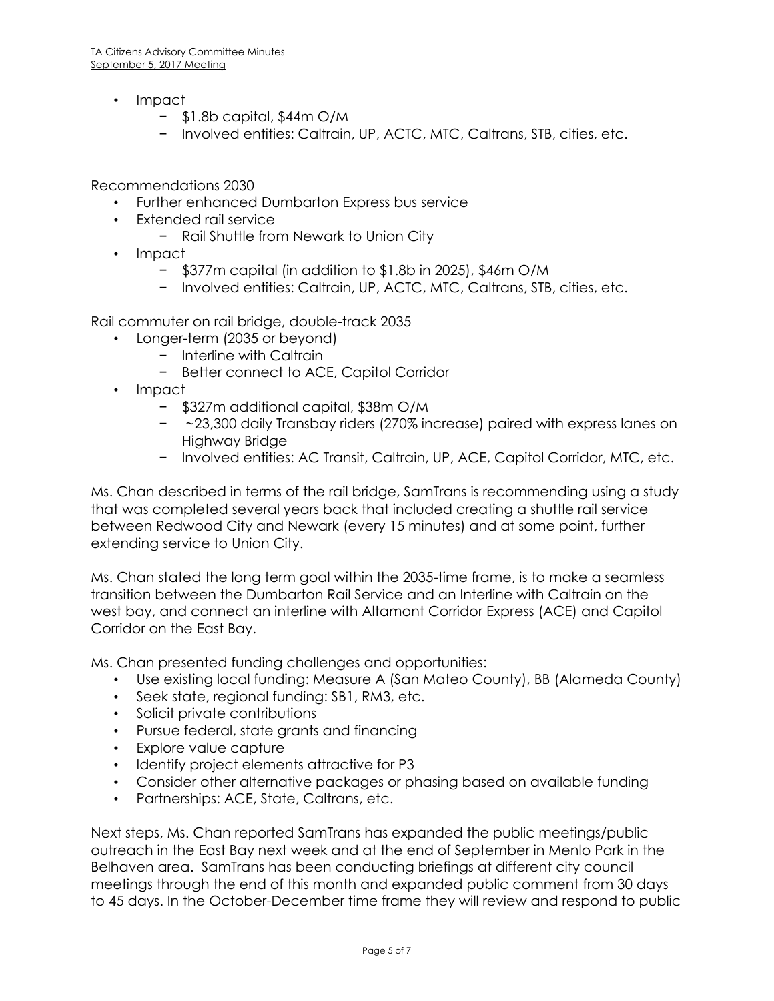- Impact
	- − \$1.8b capital, \$44m O/M
	- − Involved entities: Caltrain, UP, ACTC, MTC, Caltrans, STB, cities, etc.

Recommendations 2030

- Further enhanced Dumbarton Express bus service
- Extended rail service
	- − Rail Shuttle from Newark to Union City
- Impact
	- − \$377m capital (in addition to \$1.8b in 2025), \$46m O/M
	- − Involved entities: Caltrain, UP, ACTC, MTC, Caltrans, STB, cities, etc.

Rail commuter on rail bridge, double-track 2035

- Longer-term (2035 or beyond)
	- − Interline with Caltrain
	- − Better connect to ACE, Capitol Corridor
- Impact
	- − \$327m additional capital, \$38m O/M
	- − ~23,300 daily Transbay riders (270% increase) paired with express lanes on Highway Bridge
	- − Involved entities: AC Transit, Caltrain, UP, ACE, Capitol Corridor, MTC, etc.

Ms. Chan described in terms of the rail bridge, SamTrans is recommending using a study that was completed several years back that included creating a shuttle rail service between Redwood City and Newark (every 15 minutes) and at some point, further extending service to Union City.

Ms. Chan stated the long term goal within the 2035-time frame, is to make a seamless transition between the Dumbarton Rail Service and an Interline with Caltrain on the west bay, and connect an interline with Altamont Corridor Express (ACE) and Capitol Corridor on the East Bay.

Ms. Chan presented funding challenges and opportunities:

- Use existing local funding: Measure A (San Mateo County), BB (Alameda County)
- Seek state, regional funding: SB1, RM3, etc.
- Solicit private contributions
- Pursue federal, state grants and financing
- Explore value capture
- Identify project elements attractive for P3
- Consider other alternative packages or phasing based on available funding
- Partnerships: ACE, State, Caltrans, etc.

Next steps, Ms. Chan reported SamTrans has expanded the public meetings/public outreach in the East Bay next week and at the end of September in Menlo Park in the Belhaven area. SamTrans has been conducting briefings at different city council meetings through the end of this month and expanded public comment from 30 days to 45 days. In the October-December time frame they will review and respond to public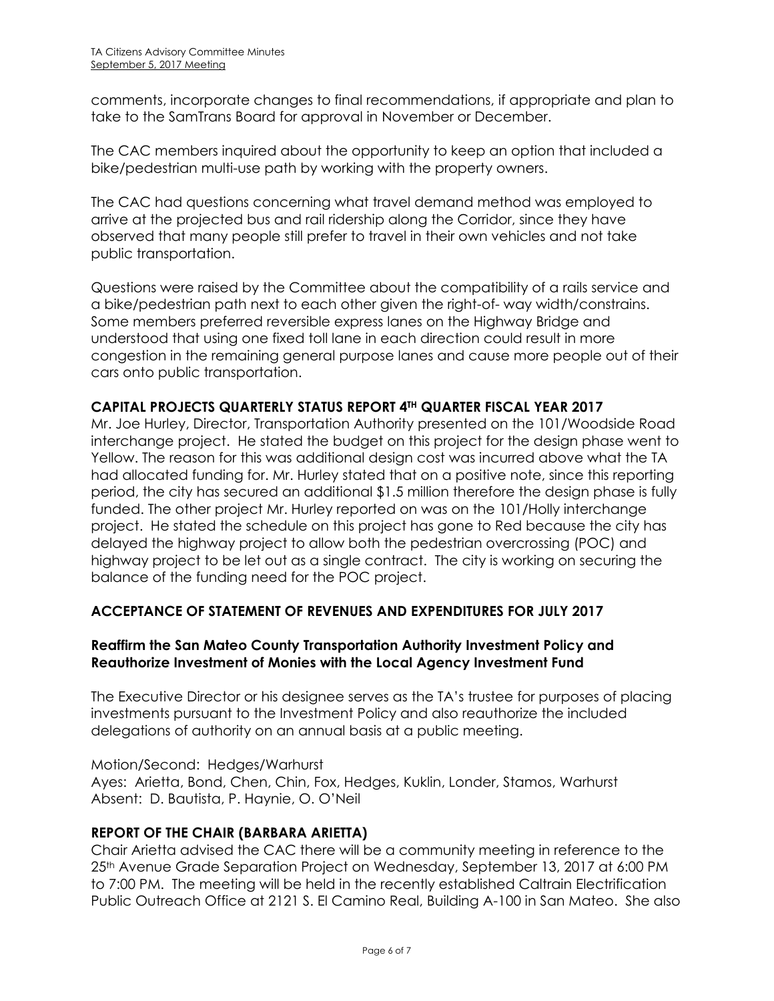comments, incorporate changes to final recommendations, if appropriate and plan to take to the SamTrans Board for approval in November or December.

The CAC members inquired about the opportunity to keep an option that included a bike/pedestrian multi-use path by working with the property owners.

The CAC had questions concerning what travel demand method was employed to arrive at the projected bus and rail ridership along the Corridor, since they have observed that many people still prefer to travel in their own vehicles and not take public transportation.

Questions were raised by the Committee about the compatibility of a rails service and a bike/pedestrian path next to each other given the right-of- way width/constrains. Some members preferred reversible express lanes on the Highway Bridge and understood that using one fixed toll lane in each direction could result in more congestion in the remaining general purpose lanes and cause more people out of their cars onto public transportation.

## **CAPITAL PROJECTS QUARTERLY STATUS REPORT 4TH QUARTER FISCAL YEAR 2017**

Mr. Joe Hurley, Director, Transportation Authority presented on the 101/Woodside Road interchange project. He stated the budget on this project for the design phase went to Yellow. The reason for this was additional design cost was incurred above what the TA had allocated funding for. Mr. Hurley stated that on a positive note, since this reporting period, the city has secured an additional \$1.5 million therefore the design phase is fully funded. The other project Mr. Hurley reported on was on the 101/Holly interchange project. He stated the schedule on this project has gone to Red because the city has delayed the highway project to allow both the pedestrian overcrossing (POC) and highway project to be let out as a single contract. The city is working on securing the balance of the funding need for the POC project.

## **ACCEPTANCE OF STATEMENT OF REVENUES AND EXPENDITURES FOR JULY 2017**

## **Reaffirm the San Mateo County Transportation Authority Investment Policy and Reauthorize Investment of Monies with the Local Agency Investment Fund**

The Executive Director or his designee serves as the TA's trustee for purposes of placing investments pursuant to the Investment Policy and also reauthorize the included delegations of authority on an annual basis at a public meeting.

Motion/Second: Hedges/Warhurst Ayes: Arietta, Bond, Chen, Chin, Fox, Hedges, Kuklin, Londer, Stamos, Warhurst Absent: D. Bautista, P. Haynie, O. O'Neil

## **REPORT OF THE CHAIR (BARBARA ARIETTA)**

Chair Arietta advised the CAC there will be a community meeting in reference to the 25th Avenue Grade Separation Project on Wednesday, September 13, 2017 at 6:00 PM to 7:00 PM. The meeting will be held in the recently established Caltrain Electrification Public Outreach Office at 2121 S. El Camino Real, Building A-100 in San Mateo. She also